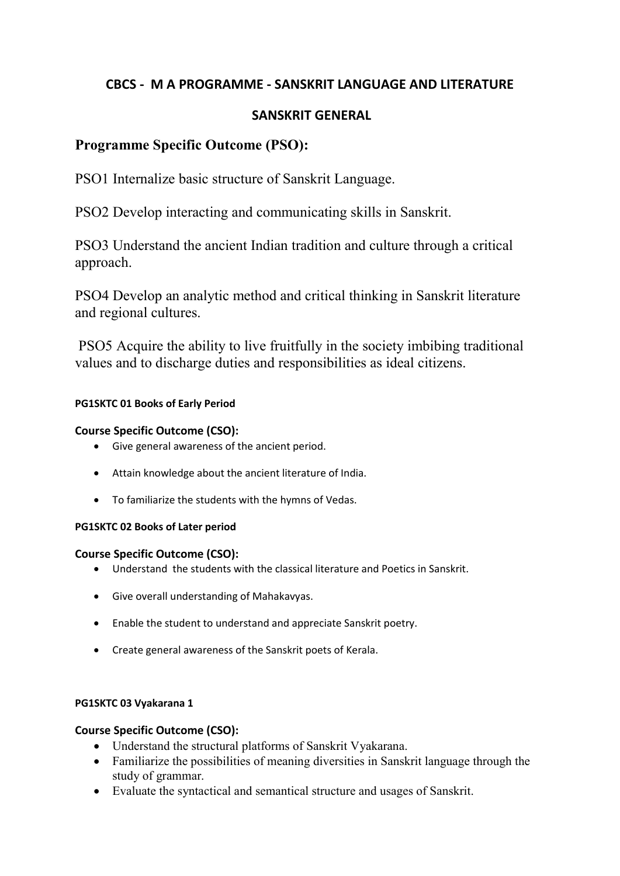# **CBCS - M A PROGRAMME - SANSKRIT LANGUAGE AND LITERATURE**

# **SANSKRIT GENERAL**

# **Programme Specific Outcome (PSO):**

PSO1 Internalize basic structure of Sanskrit Language.

PSO2 Develop interacting and communicating skills in Sanskrit.

PSO3 Understand the ancient Indian tradition and culture through a critical approach.

PSO4 Develop an analytic method and critical thinking in Sanskrit literature and regional cultures.

PSO5 Acquire the ability to live fruitfully in the society imbibing traditional values and to discharge duties and responsibilities as ideal citizens.

## **PG1SKTC 01 Books of Early Period**

## **Course Specific Outcome (CSO):**

- Give general awareness of the ancient period.
- Attain knowledge about the ancient literature of India.
- To familiarize the students with the hymns of Vedas.

## **PG1SKTC 02 Books of Later period**

## **Course Specific Outcome (CSO):**

- Understand the students with the classical literature and Poetics in Sanskrit.
- Give overall understanding of Mahakavyas.
- Enable the student to understand and appreciate Sanskrit poetry.
- Create general awareness of the Sanskrit poets of Kerala.

## **PG1SKTC 03 Vyakarana 1**

- Understand the structural platforms of Sanskrit Vyakarana.
- Familiarize the possibilities of meaning diversities in Sanskrit language through the study of grammar.
- Evaluate the syntactical and semantical structure and usages of Sanskrit.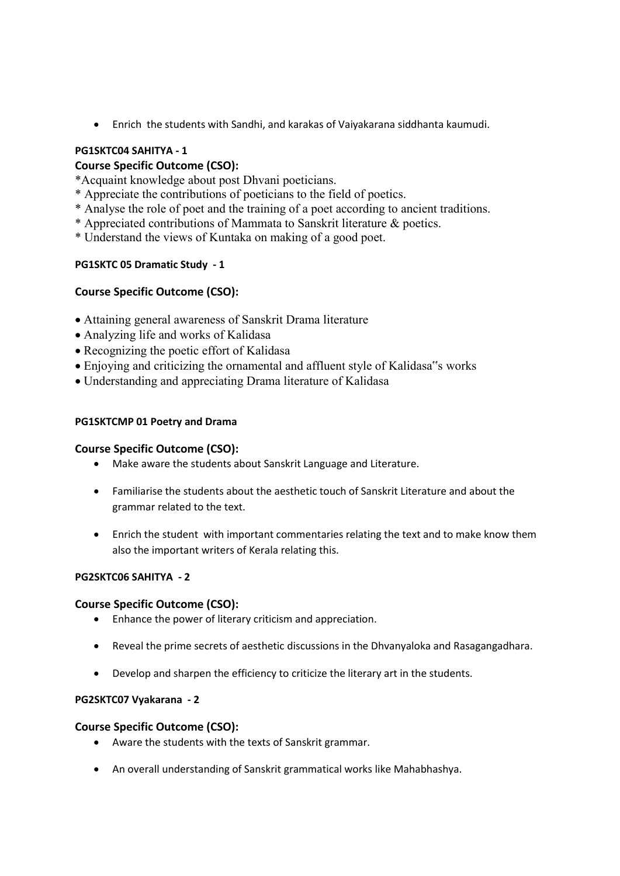Enrich the students with Sandhi, and karakas of Vaiyakarana siddhanta kaumudi.

## **PG1SKTC04 SAHITYA - 1**

## **Course Specific Outcome (CSO):**

\*Acquaint knowledge about post Dhvani poeticians.

- \* Appreciate the contributions of poeticians to the field of poetics.
- \* Analyse the role of poet and the training of a poet according to ancient traditions.
- \* Appreciated contributions of Mammata to Sanskrit literature & poetics.
- \* Understand the views of Kuntaka on making of a good poet.

## **PG1SKTC 05 Dramatic Study - 1**

## **Course Specific Outcome (CSO):**

- Attaining general awareness of Sanskrit Drama literature
- Analyzing life and works of Kalidasa
- Recognizing the poetic effort of Kalidasa
- Enjoying and criticizing the ornamental and affluent style of Kalidasa"s works
- Understanding and appreciating Drama literature of Kalidasa

### **PG1SKTCMP 01 Poetry and Drama**

### **Course Specific Outcome (CSO):**

- Make aware the students about Sanskrit Language and Literature.
- Familiarise the students about the aesthetic touch of Sanskrit Literature and about the grammar related to the text.
- Enrich the student with important commentaries relating the text and to make know them also the important writers of Kerala relating this.

### **PG2SKTC06 SAHITYA - 2**

### **Course Specific Outcome (CSO):**

- Enhance the power of literary criticism and appreciation.
- Reveal the prime secrets of aesthetic discussions in the Dhvanyaloka and Rasagangadhara.
- Develop and sharpen the efficiency to criticize the literary art in the students.

### **PG2SKTC07 Vyakarana - 2**

- Aware the students with the texts of Sanskrit grammar.
- An overall understanding of Sanskrit grammatical works like Mahabhashya.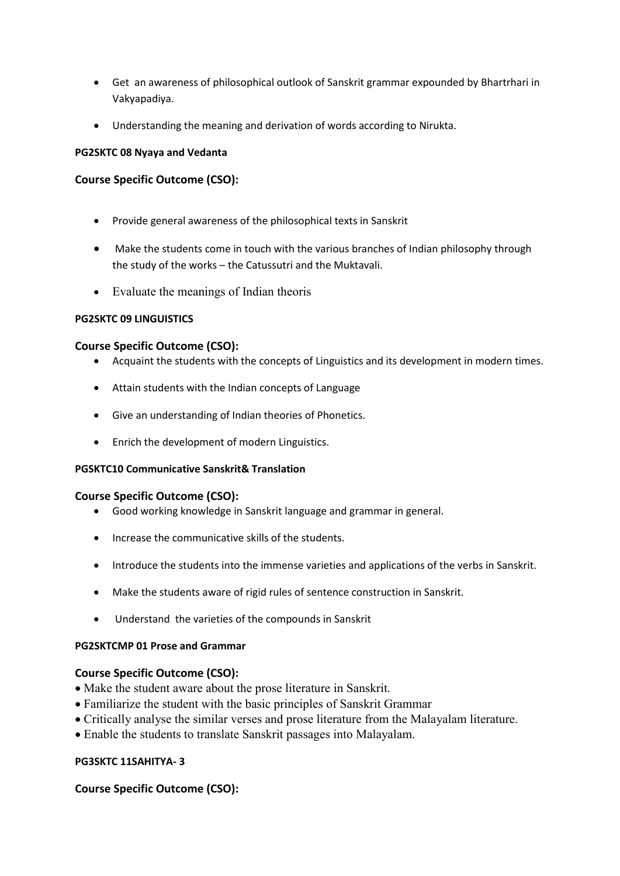- Get an awareness of philosophical outlook of Sanskrit grammar expounded by Bhartrhari in Vakyapadiya.
- Understanding the meaning and derivation of words according to Nirukta.

#### **PG2SKTC 08 Nyaya and Vedanta**

### **Course Specific Outcome (CSO):**

- Provide general awareness of the philosophical texts in Sanskrit
- Make the students come in touch with the various branches of Indian philosophy through the study of the works – the Catussutri and the Muktavali.
- Evaluate the meanings of Indian theoris

#### **PG2SKTC 09 LINGUISTICS**

#### **Course Specific Outcome (CSO):**

- Acquaint the students with the concepts of Linguistics and its development in modern times.
- Attain students with the Indian concepts of Language
- Give an understanding of Indian theories of Phonetics.
- Enrich the development of modern Linguistics.

### **PGSKTC10 Communicative Sanskrit& Translation**

### **Course Specific Outcome (CSO):**

- Good working knowledge in Sanskrit language and grammar in general.
- Increase the communicative skills of the students.
- Introduce the students into the immense varieties and applications of the verbs in Sanskrit.
- Make the students aware of rigid rules of sentence construction in Sanskrit.
- Understand the varieties of the compounds in Sanskrit

### **PG2SKTCMP 01 Prose and Grammar**

### **Course Specific Outcome (CSO):**

- Make the student aware about the prose literature in Sanskrit.
- Familiarize the student with the basic principles of Sanskrit Grammar
- Critically analyse the similar verses and prose literature from the Malayalam literature.
- Enable the students to translate Sanskrit passages into Malayalam.

### **PG3SKTC 11SAHITYA- 3**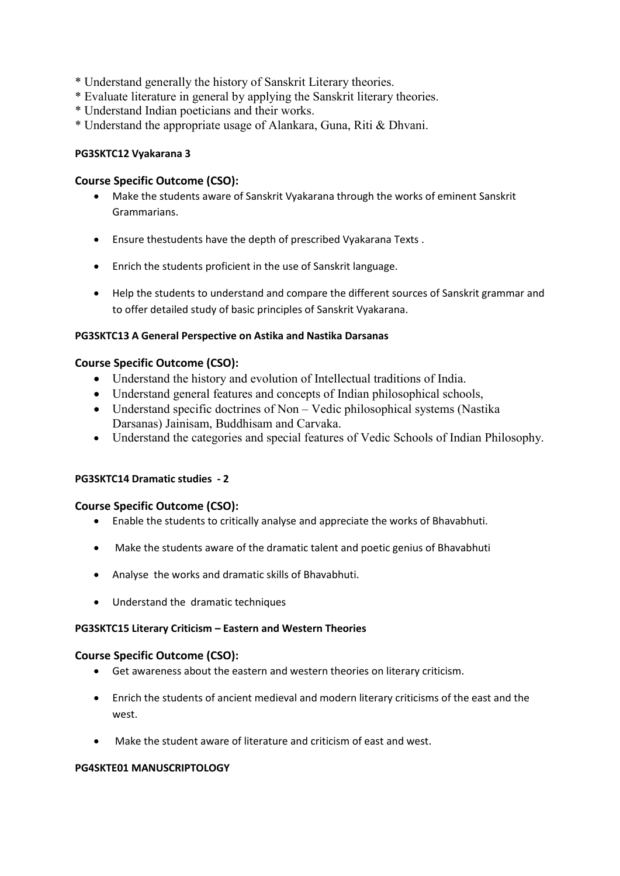- \* Understand generally the history of Sanskrit Literary theories.
- \* Evaluate literature in general by applying the Sanskrit literary theories.
- \* Understand Indian poeticians and their works.
- \* Understand the appropriate usage of Alankara, Guna, Riti & Dhvani.

#### **PG3SKTC12 Vyakarana 3**

### **Course Specific Outcome (CSO):**

- Make the students aware of Sanskrit Vyakarana through the works of eminent Sanskrit Grammarians.
- Ensure thestudents have the depth of prescribed Vyakarana Texts .
- Enrich the students proficient in the use of Sanskrit language.
- Help the students to understand and compare the different sources of Sanskrit grammar and to offer detailed study of basic principles of Sanskrit Vyakarana.

#### **PG3SKTC13 A General Perspective on Astika and Nastika Darsanas**

#### **Course Specific Outcome (CSO):**

- Understand the history and evolution of Intellectual traditions of India.
- Understand general features and concepts of Indian philosophical schools,
- Understand specific doctrines of Non Vedic philosophical systems (Nastika Darsanas) Jainisam, Buddhisam and Carvaka.
- Understand the categories and special features of Vedic Schools of Indian Philosophy.

### **PG3SKTC14 Dramatic studies - 2**

### **Course Specific Outcome (CSO):**

- Enable the students to critically analyse and appreciate the works of Bhavabhuti.
- Make the students aware of the dramatic talent and poetic genius of Bhavabhuti
- Analyse the works and dramatic skills of Bhavabhuti.
- Understand the dramatic techniques

#### **PG3SKTC15 Literary Criticism – Eastern and Western Theories**

#### **Course Specific Outcome (CSO):**

- Get awareness about the eastern and western theories on literary criticism.
- Enrich the students of ancient medieval and modern literary criticisms of the east and the west.
- Make the student aware of literature and criticism of east and west.

#### **PG4SKTE01 MANUSCRIPTOLOGY**